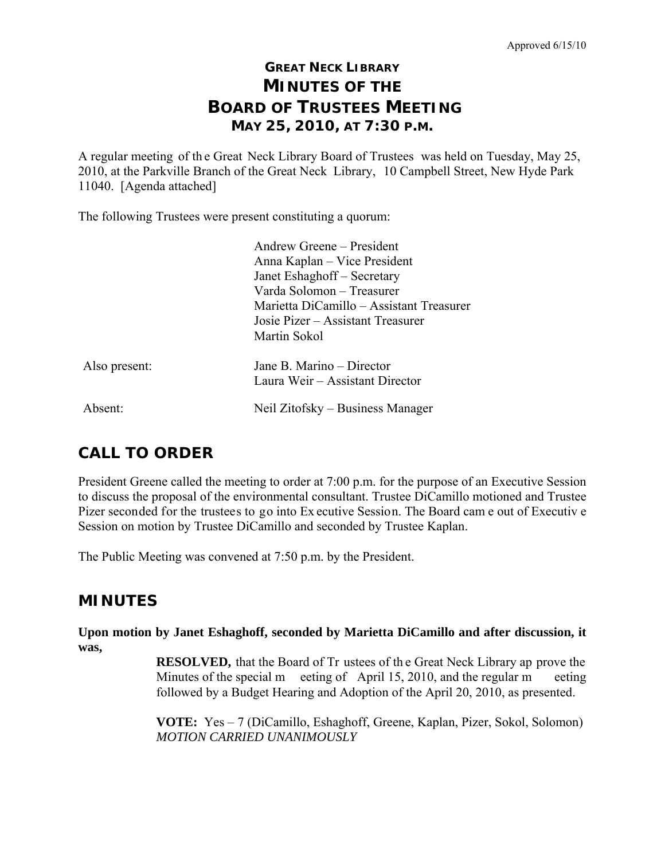# **GREAT NECK LIBRARY MINUTES OF THE BOARD OF TRUSTEES MEETING MAY 25, 2010, AT 7:30 P.M.**

A regular meeting of th e Great Neck Library Board of Trustees was held on Tuesday, May 25, 2010, at the Parkville Branch of the Great Neck Library, 10 Campbell Street, New Hyde Park 11040. [Agenda attached]

The following Trustees were present constituting a quorum:

|               | Andrew Greene – President                                    |
|---------------|--------------------------------------------------------------|
|               | Anna Kaplan – Vice President                                 |
|               | Janet Eshaghoff – Secretary                                  |
|               | Varda Solomon – Treasurer                                    |
|               | Marietta DiCamillo – Assistant Treasurer                     |
|               | Josie Pizer – Assistant Treasurer                            |
|               | Martin Sokol                                                 |
| Also present: | Jane B. Marino – Director<br>Laura Weir – Assistant Director |
| Absent:       | Neil Zitofsky – Business Manager                             |

# **CALL TO ORDER**

President Greene called the meeting to order at 7:00 p.m. for the purpose of an Executive Session to discuss the proposal of the environmental consultant. Trustee DiCamillo motioned and Trustee Pizer seconded for the trustees to go into Ex ecutive Session. The Board cam e out of Executiv e Session on motion by Trustee DiCamillo and seconded by Trustee Kaplan.

The Public Meeting was convened at 7:50 p.m. by the President.

# **MINUTES**

**Upon motion by Janet Eshaghoff, seconded by Marietta DiCamillo and after discussion, it was,** 

> **RESOLVED,** that the Board of Tr ustees of th e Great Neck Library ap prove the Minutes of the special m eeting of April 15, 2010, and the regular m eeting followed by a Budget Hearing and Adoption of the April 20, 2010, as presented.

> **VOTE:** Yes – 7 (DiCamillo, Eshaghoff, Greene, Kaplan, Pizer, Sokol, Solomon)  *MOTION CARRIED UNANIMOUSLY*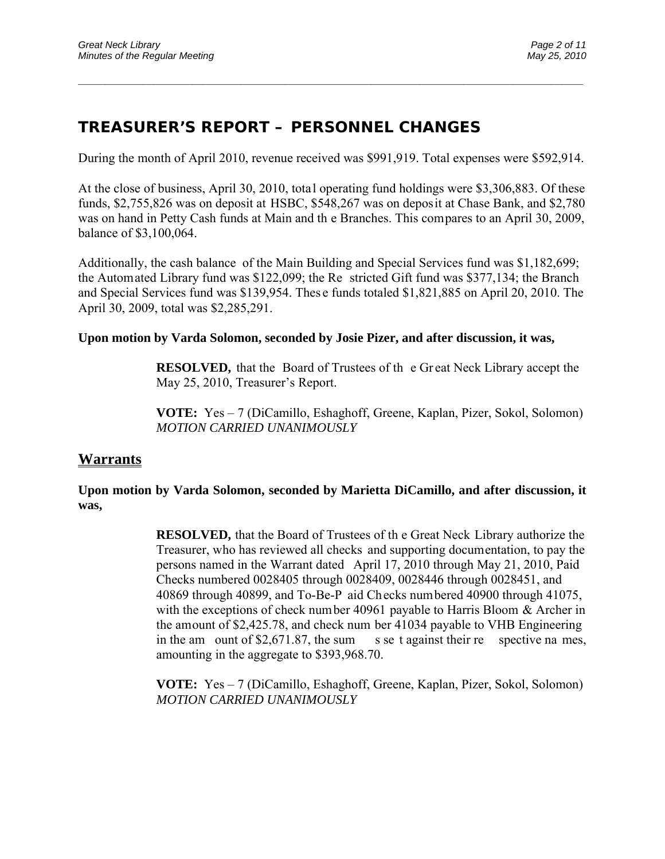# **TREASURER'S REPORT – PERSONNEL CHANGES**

During the month of April 2010, revenue received was \$991,919. Total expenses were \$592,914.

\_\_\_\_\_\_\_\_\_\_\_\_\_\_\_\_\_\_\_\_\_\_\_\_\_\_\_\_\_\_\_\_\_\_\_\_\_\_\_\_\_\_\_\_\_\_\_\_\_\_\_\_\_\_\_\_\_\_\_\_\_\_\_\_\_\_\_\_\_\_\_\_\_\_\_\_\_\_\_\_\_\_\_\_\_\_\_\_\_\_\_\_\_

At the close of business, April 30, 2010, total operating fund holdings were \$3,306,883. Of these funds, \$2,755,826 was on deposit at HSBC, \$548,267 was on deposit at Chase Bank, and \$2,780 was on hand in Petty Cash funds at Main and th e Branches. This compares to an April 30, 2009, balance of \$3,100,064.

Additionally, the cash balance of the Main Building and Special Services fund was \$1,182,699; the Automated Library fund was \$122,099; the Re stricted Gift fund was \$377,134; the Branch and Special Services fund was \$139,954. Thes e funds totaled \$1,821,885 on April 20, 2010. The April 30, 2009, total was \$2,285,291.

#### **Upon motion by Varda Solomon, seconded by Josie Pizer, and after discussion, it was,**

**RESOLVED,** that the Board of Trustees of the Great Neck Library accept the May 25, 2010, Treasurer's Report.

 **VOTE:** Yes – 7 (DiCamillo, Eshaghoff, Greene, Kaplan, Pizer, Sokol, Solomon)  *MOTION CARRIED UNANIMOUSLY* 

## **Warrants**

### **Upon motion by Varda Solomon, seconded by Marietta DiCamillo, and after discussion, it was,**

**RESOLVED,** that the Board of Trustees of th e Great Neck Library authorize the Treasurer, who has reviewed all checks and supporting documentation, to pay the persons named in the Warrant dated April 17, 2010 through May 21, 2010, Paid Checks numbered 0028405 through 0028409, 0028446 through 0028451, and 40869 through 40899, and To-Be-P aid Checks numbered 40900 through 41075, with the exceptions of check number 40961 payable to Harris Bloom & Archer in the amount of \$2,425.78, and check num ber 41034 payable to VHB Engineering in the am ount of \$2,671.87, the sum s se t against their re spective na mes, amounting in the aggregate to \$393,968.70.

**VOTE:** Yes – 7 (DiCamillo, Eshaghoff, Greene, Kaplan, Pizer, Sokol, Solomon) *MOTION CARRIED UNANIMOUSLY*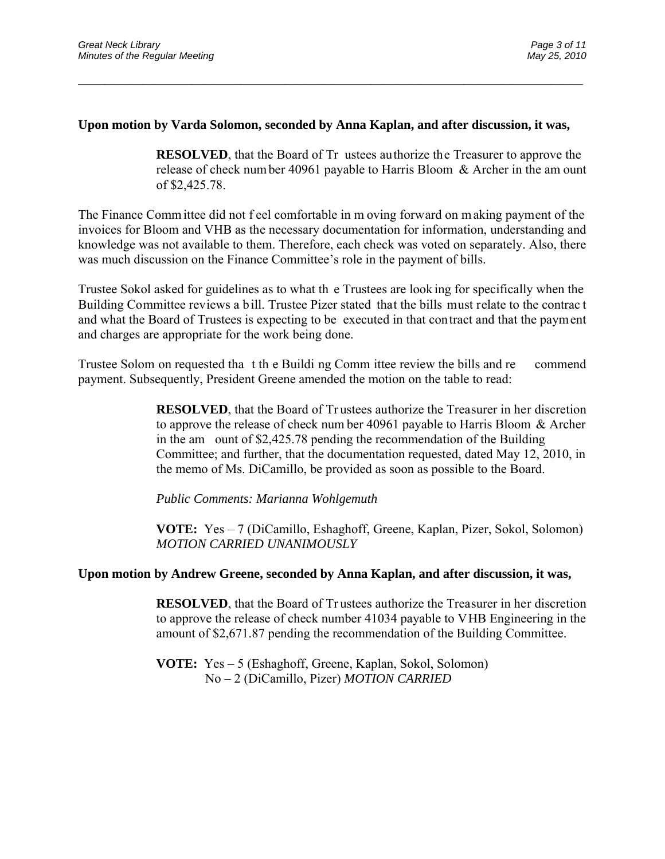### **Upon motion by Varda Solomon, seconded by Anna Kaplan, and after discussion, it was,**

\_\_\_\_\_\_\_\_\_\_\_\_\_\_\_\_\_\_\_\_\_\_\_\_\_\_\_\_\_\_\_\_\_\_\_\_\_\_\_\_\_\_\_\_\_\_\_\_\_\_\_\_\_\_\_\_\_\_\_\_\_\_\_\_\_\_\_\_\_\_\_\_\_\_\_\_\_\_\_\_\_\_\_\_\_\_\_\_\_\_\_\_\_

**RESOLVED**, that the Board of Tr ustees authorize the Treasurer to approve the release of check num ber 40961 payable to Harris Bloom & Archer in the am ount of \$2,425.78.

The Finance Comm ittee did not f eel comfortable in m oving forward on m aking payment of the invoices for Bloom and VHB as the necessary documentation for information, understanding and knowledge was not available to them. Therefore, each check was voted on separately. Also, there was much discussion on the Finance Committee's role in the payment of bills.

Trustee Sokol asked for guidelines as to what th e Trustees are look ing for specifically when the Building Committee reviews a bill. Trustee Pizer stated that the bills must relate to the contrac t and what the Board of Trustees is expecting to be executed in that contract and that the payment and charges are appropriate for the work being done.

Trustee Solom on requested tha t th e Buildi ng Comm ittee review the bills and re commend payment. Subsequently, President Greene amended the motion on the table to read:

> **RESOLVED**, that the Board of Tr ustees authorize the Treasurer in her discretion to approve the release of check num ber 40961 payable to Harris Bloom & Archer in the am ount of \$2,425.78 pending the recommendation of the Building Committee; and further, that the documentation requested, dated May 12, 2010, in the memo of Ms. DiCamillo, be provided as soon as possible to the Board.

 *Public Comments: Marianna Wohlgemuth* 

**VOTE:** Yes – 7 (DiCamillo, Eshaghoff, Greene, Kaplan, Pizer, Sokol, Solomon) *MOTION CARRIED UNANIMOUSLY* 

#### **Upon motion by Andrew Greene, seconded by Anna Kaplan, and after discussion, it was,**

**RESOLVED**, that the Board of Tr ustees authorize the Treasurer in her discretion to approve the release of check number 41034 payable to VHB Engineering in the amount of \$2,671.87 pending the recommendation of the Building Committee.

**VOTE:** Yes – 5 (Eshaghoff, Greene, Kaplan, Sokol, Solomon) No – 2 (DiCamillo, Pizer) *MOTION CARRIED*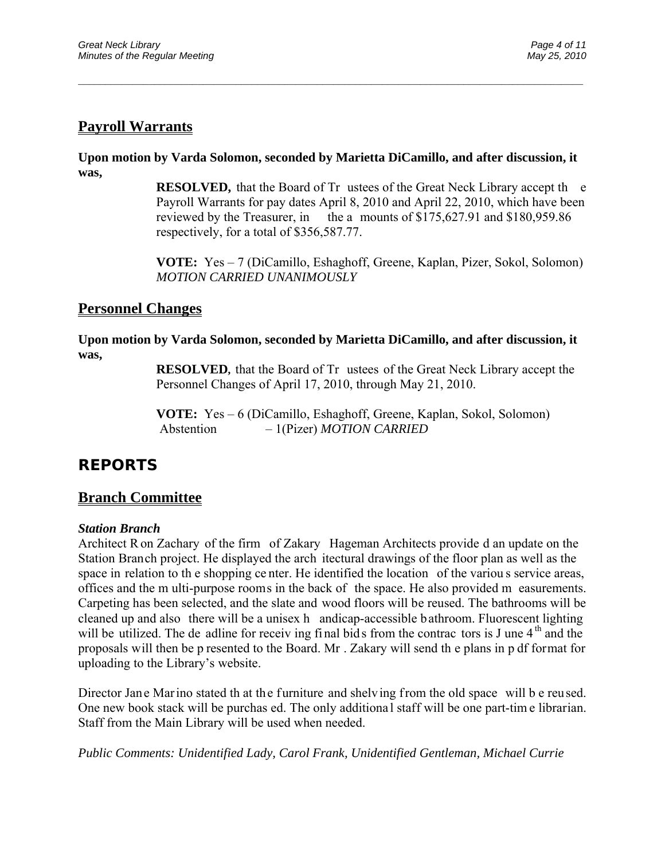## **Payroll Warrants**

**Upon motion by Varda Solomon, seconded by Marietta DiCamillo, and after discussion, it was,** 

\_\_\_\_\_\_\_\_\_\_\_\_\_\_\_\_\_\_\_\_\_\_\_\_\_\_\_\_\_\_\_\_\_\_\_\_\_\_\_\_\_\_\_\_\_\_\_\_\_\_\_\_\_\_\_\_\_\_\_\_\_\_\_\_\_\_\_\_\_\_\_\_\_\_\_\_\_\_\_\_\_\_\_\_\_\_\_\_\_\_\_\_\_

**RESOLVED,** that the Board of Tr ustees of the Great Neck Library accept the Payroll Warrants for pay dates April 8, 2010 and April 22, 2010, which have been reviewed by the Treasurer, in the a mounts of \$175,627.91 and \$180,959.86 respectively, for a total of \$356,587.77.

**VOTE:** Yes – 7 (DiCamillo, Eshaghoff, Greene, Kaplan, Pizer, Sokol, Solomon) *MOTION CARRIED UNANIMOUSLY* 

## **Personnel Changes**

**Upon motion by Varda Solomon, seconded by Marietta DiCamillo, and after discussion, it was,** 

> **RESOLVED,** that the Board of Tr ustees of the Great Neck Library accept the Personnel Changes of April 17, 2010, through May 21, 2010.

**VOTE:** Yes – 6 (DiCamillo, Eshaghoff, Greene, Kaplan, Sokol, Solomon) Abstention – 1(Pizer) *MOTION CARRIED* 

# **REPORTS**

## **Branch Committee**

### *Station Branch*

Architect R on Zachary of the firm of Zakary Hageman Architects provide d an update on the Station Branch project. He displayed the arch itectural drawings of the floor plan as well as the space in relation to th e shopping ce nter. He identified the location of the variou s service areas, offices and the m ulti-purpose rooms in the back of the space. He also provided m easurements. Carpeting has been selected, and the slate and wood floors will be reused. The bathrooms will be cleaned up and also there will be a unisex h andicap-accessible bathroom. Fluorescent lighting will be utilized. The de adline for receiv ing final bids from the contrac tors is J une  $4<sup>th</sup>$  and the proposals will then be p resented to the Board. Mr . Zakary will send th e plans in p df format for uploading to the Library's website.

Director Jane Marino stated th at the furniture and shelving from the old space will b e reused. One new book stack will be purchas ed. The only additiona l staff will be one part-tim e librarian. Staff from the Main Library will be used when needed.

*Public Comments: Unidentified Lady, Carol Frank, Unidentified Gentleman, Michael Currie*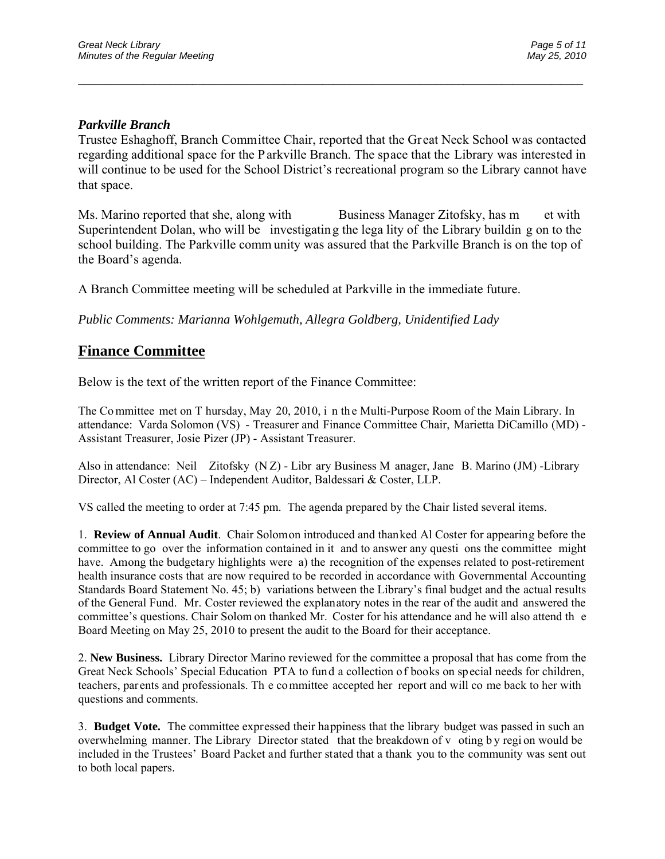### *Parkville Branch*

Trustee Eshaghoff, Branch Committee Chair, reported that the Gr eat Neck School was contacted regarding additional space for the Parkville Branch. The space that the Library was interested in will continue to be used for the School District's recreational program so the Library cannot have that space.

\_\_\_\_\_\_\_\_\_\_\_\_\_\_\_\_\_\_\_\_\_\_\_\_\_\_\_\_\_\_\_\_\_\_\_\_\_\_\_\_\_\_\_\_\_\_\_\_\_\_\_\_\_\_\_\_\_\_\_\_\_\_\_\_\_\_\_\_\_\_\_\_\_\_\_\_\_\_\_\_\_\_\_\_\_\_\_\_\_\_\_\_\_

Ms. Marino reported that she, along with Business Manager Zitofsky, has m et with Superintendent Dolan, who will be investigating the lega lity of the Library buildin g on to the school building. The Parkville comm unity was assured that the Parkville Branch is on the top of the Board's agenda.

A Branch Committee meeting will be scheduled at Parkville in the immediate future.

*Public Comments: Marianna Wohlgemuth, Allegra Goldberg, Unidentified Lady* 

## **Finance Committee**

Below is the text of the written report of the Finance Committee:

The Committee met on T hursday, May 20, 2010, i n the Multi-Purpose Room of the Main Library. In attendance: Varda Solomon (VS) - Treasurer and Finance Committee Chair, Marietta DiCamillo (MD) - Assistant Treasurer, Josie Pizer (JP) - Assistant Treasurer.

Also in attendance: Neil Zitofsky (N Z) - Libr ary Business M anager, Jane B. Marino (JM) -Library Director, Al Coster (AC) – Independent Auditor, Baldessari & Coster, LLP.

VS called the meeting to order at 7:45 pm. The agenda prepared by the Chair listed several items.

1. **Review of Annual Audit**. Chair Solomon introduced and thanked Al Coster for appearing before the committee to go over the information contained in it and to answer any questi ons the committee might have. Among the budgetary highlights were a) the recognition of the expenses related to post-retirement health insurance costs that are now required to be recorded in accordance with Governmental Accounting Standards Board Statement No. 45; b) variations between the Library's final budget and the actual results of the General Fund. Mr. Coster reviewed the explanatory notes in the rear of the audit and answered the committee's questions. Chair Solom on thanked Mr. Coster for his attendance and he will also attend th e Board Meeting on May 25, 2010 to present the audit to the Board for their acceptance.

2. **New Business.** Library Director Marino reviewed for the committee a proposal that has come from the Great Neck Schools' Special Education PTA to fund a collection of books on special needs for children, teachers, parents and professionals. Th e committee accepted her report and will co me back to her with questions and comments.

3. **Budget Vote.** The committee expressed their happiness that the library budget was passed in such an overwhelming manner. The Library Director stated that the breakdown of v oting b y regi on would be included in the Trustees' Board Packet and further stated that a thank you to the community was sent out to both local papers.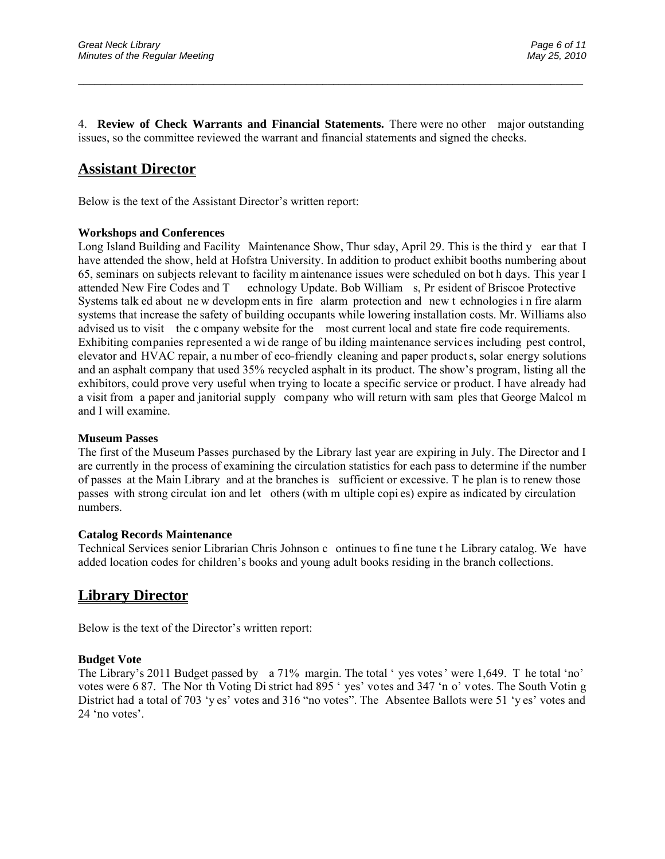4. **Review of Check Warrants and Financial Statements.** There were no other major outstanding issues, so the committee reviewed the warrant and financial statements and signed the checks.

\_\_\_\_\_\_\_\_\_\_\_\_\_\_\_\_\_\_\_\_\_\_\_\_\_\_\_\_\_\_\_\_\_\_\_\_\_\_\_\_\_\_\_\_\_\_\_\_\_\_\_\_\_\_\_\_\_\_\_\_\_\_\_\_\_\_\_\_\_\_\_\_\_\_\_\_\_\_\_\_\_\_\_\_\_\_\_\_\_\_\_\_\_

# **Assistant Director**

Below is the text of the Assistant Director's written report:

#### **Workshops and Conferences**

Long Island Building and Facility Maintenance Show, Thur sday, April 29. This is the third y ear that I have attended the show, held at Hofstra University. In addition to product exhibit booths numbering about 65, seminars on subjects relevant to facility m aintenance issues were scheduled on bot h days. This year I attended New Fire Codes and T echnology Update. Bob William s, Pr esident of Briscoe Protective Systems talk ed about new developm ents in fire alarm protection and new t echnologies in fire alarm systems that increase the safety of building occupants while lowering installation costs. Mr. Williams also advised us to visit the c ompany website for the most current local and state fire code requirements. Exhibiting companies represented a wi de range of bu ilding maintenance services including pest control, elevator and HVAC repair, a nu mber of eco-friendly cleaning and paper product s, solar energy solutions and an asphalt company that used 35% recycled asphalt in its product. The show's program, listing all the exhibitors, could prove very useful when trying to locate a specific service or product. I have already had a visit from a paper and janitorial supply company who will return with sam ples that George Malcol m and I will examine.

#### **Museum Passes**

The first of the Museum Passes purchased by the Library last year are expiring in July. The Director and I are currently in the process of examining the circulation statistics for each pass to determine if the number of passes at the Main Library and at the branches is sufficient or excessive. T he plan is to renew those passes with strong circulat ion and let others (with m ultiple copi es) expire as indicated by circulation numbers.

#### **Catalog Records Maintenance**

Technical Services senior Librarian Chris Johnson c ontinues to fine tune t he Library catalog. We have added location codes for children's books and young adult books residing in the branch collections.

## **Library Director**

Below is the text of the Director's written report:

#### **Budget Vote**

The Library's 2011 Budget passed by a 71% margin. The total ' yes votes' were 1,649. T he total 'no' votes were 6 87. The Nor th Voting Di strict had 895 ' yes' votes and 347 'n o' votes. The South Votin g District had a total of 703 'y es' votes and 316 "no votes". The Absentee Ballots were 51 'y es' votes and 24 'no votes'.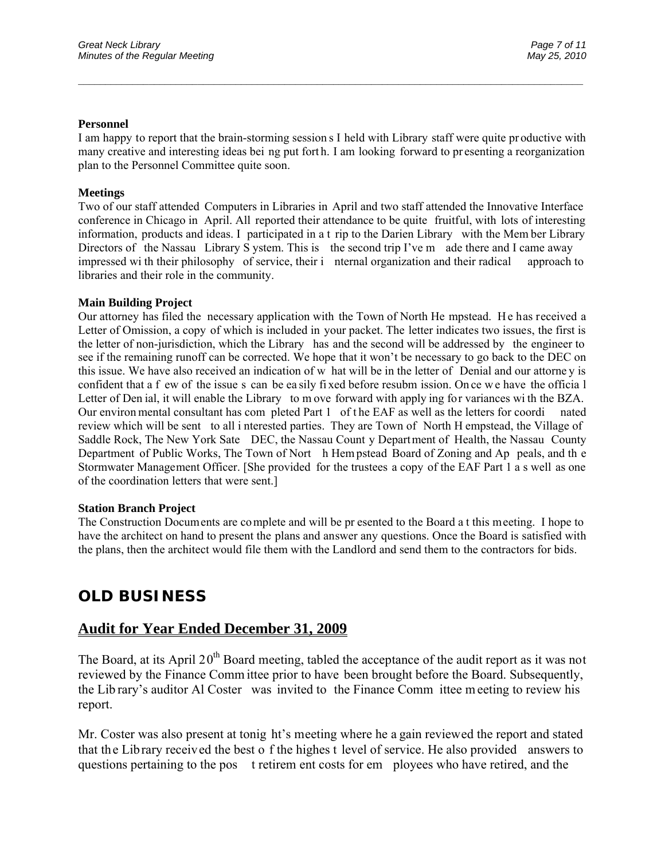#### **Personnel**

I am happy to report that the brain-storming session s I held with Library staff were quite pr oductive with many creative and interesting ideas bei ng put fort h. I am looking forward to pr esenting a reorganization plan to the Personnel Committee quite soon.

\_\_\_\_\_\_\_\_\_\_\_\_\_\_\_\_\_\_\_\_\_\_\_\_\_\_\_\_\_\_\_\_\_\_\_\_\_\_\_\_\_\_\_\_\_\_\_\_\_\_\_\_\_\_\_\_\_\_\_\_\_\_\_\_\_\_\_\_\_\_\_\_\_\_\_\_\_\_\_\_\_\_\_\_\_\_\_\_\_\_\_\_\_

#### **Meetings**

Two of our staff attended Computers in Libraries in April and two staff attended the Innovative Interface conference in Chicago in April. All reported their attendance to be quite fruitful, with lots of interesting information, products and ideas. I participated in a t rip to the Darien Library with the Mem ber Library Directors of the Nassau Library S ystem. This is the second trip I've m ade there and I came away impressed wi th their philosophy of service, their i nternal organization and their radical approach to libraries and their role in the community.

#### **Main Building Project**

Our attorney has filed the necessary application with the Town of North He mpstead. He has received a Letter of Omission, a copy of which is included in your packet. The letter indicates two issues, the first is the letter of non-jurisdiction, which the Library has and the second will be addressed by the engineer to see if the remaining runoff can be corrected. We hope that it won't be necessary to go back to the DEC on this issue. We have also received an indication of w hat will be in the letter of Denial and our attorne y is confident that a f ew of the issue s can be ea sily fi xed before resubm ission. On ce w e have the officia l Letter of Den ial, it will enable the Library to m ove forward with apply ing for variances wi th the BZA. Our environ mental consultant has com pleted Part 1 of t he EAF as well as the letters for coordi nated review which will be sent to all i nterested parties. They are Town of North H empstead, the Village of Saddle Rock, The New York Sate DEC, the Nassau Count y Department of Health, the Nassau County Department of Public Works, The Town of Nort h Hem pstead Board of Zoning and Ap peals, and th e Stormwater Management Officer. [She provided for the trustees a copy of the EAF Part 1 a s well as one of the coordination letters that were sent.]

#### **Station Branch Project**

The Construction Documents are complete and will be pr esented to the Board a t this meeting. I hope to have the architect on hand to present the plans and answer any questions. Once the Board is satisfied with the plans, then the architect would file them with the Landlord and send them to the contractors for bids.

# **OLD BUSINESS**

## **Audit for Year Ended December 31, 2009**

The Board, at its April  $20<sup>th</sup>$  Board meeting, tabled the acceptance of the audit report as it was not reviewed by the Finance Comm ittee prior to have been brought before the Board. Subsequently, the Lib rary's auditor Al Coster was invited to the Finance Comm ittee meeting to review his report.

Mr. Coster was also present at tonig ht's meeting where he a gain reviewed the report and stated that the Library received the best o f the highes t level of service. He also provided answers to questions pertaining to the pos t retirem ent costs for em ployees who have retired, and the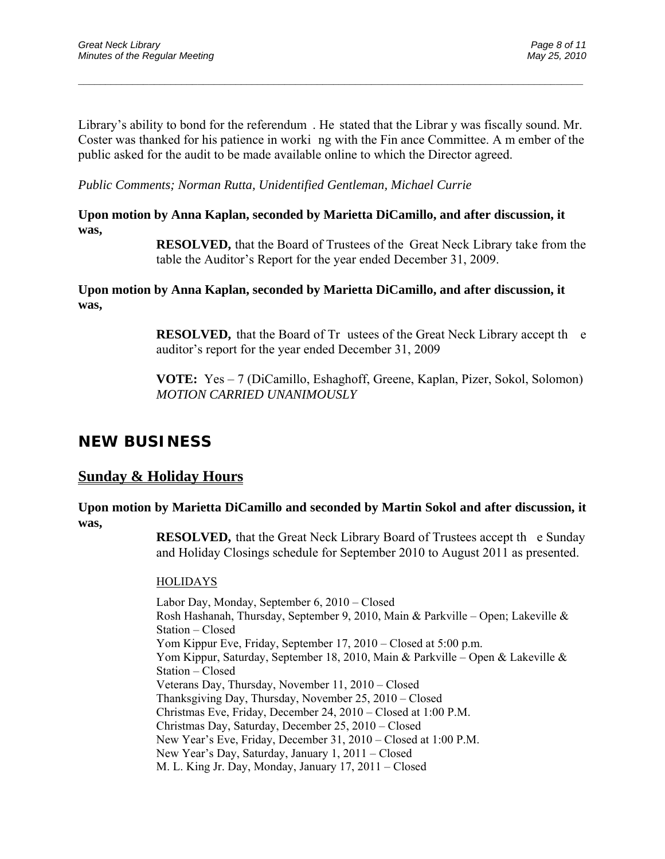Library's ability to bond for the referendum . He stated that the Librar y was fiscally sound. Mr. Coster was thanked for his patience in worki ng with the Fin ance Committee. A m ember of the public asked for the audit to be made available online to which the Director agreed.

\_\_\_\_\_\_\_\_\_\_\_\_\_\_\_\_\_\_\_\_\_\_\_\_\_\_\_\_\_\_\_\_\_\_\_\_\_\_\_\_\_\_\_\_\_\_\_\_\_\_\_\_\_\_\_\_\_\_\_\_\_\_\_\_\_\_\_\_\_\_\_\_\_\_\_\_\_\_\_\_\_\_\_\_\_\_\_\_\_\_\_\_\_

*Public Comments; Norman Rutta, Unidentified Gentleman, Michael Currie* 

### **Upon motion by Anna Kaplan, seconded by Marietta DiCamillo, and after discussion, it was,**

**RESOLVED,** that the Board of Trustees of the Great Neck Library take from the table the Auditor's Report for the year ended December 31, 2009.

### **Upon motion by Anna Kaplan, seconded by Marietta DiCamillo, and after discussion, it was,**

**RESOLVED,** that the Board of Tr ustees of the Great Neck Library accept the auditor's report for the year ended December 31, 2009

**VOTE:** Yes – 7 (DiCamillo, Eshaghoff, Greene, Kaplan, Pizer, Sokol, Solomon) *MOTION CARRIED UNANIMOUSLY* 

# **NEW BUSINESS**

## **Sunday & Holiday Hours**

### **Upon motion by Marietta DiCamillo and seconded by Martin Sokol and after discussion, it was,**

**RESOLVED,** that the Great Neck Library Board of Trustees accept the Sunday and Holiday Closings schedule for September 2010 to August 2011 as presented.

## HOLIDAYS

Labor Day, Monday, September 6, 2010 – Closed Rosh Hashanah, Thursday, September 9, 2010, Main & Parkville – Open; Lakeville & Station – Closed Yom Kippur Eve, Friday, September 17, 2010 – Closed at 5:00 p.m. Yom Kippur, Saturday, September 18, 2010, Main & Parkville – Open & Lakeville & Station – Closed Veterans Day, Thursday, November 11, 2010 – Closed Thanksgiving Day, Thursday, November 25, 2010 – Closed Christmas Eve, Friday, December 24, 2010 – Closed at 1:00 P.M. Christmas Day, Saturday, December 25, 2010 – Closed New Year's Eve, Friday, December 31, 2010 – Closed at 1:00 P.M. New Year's Day, Saturday, January 1, 2011 – Closed M. L. King Jr. Day, Monday, January 17, 2011 – Closed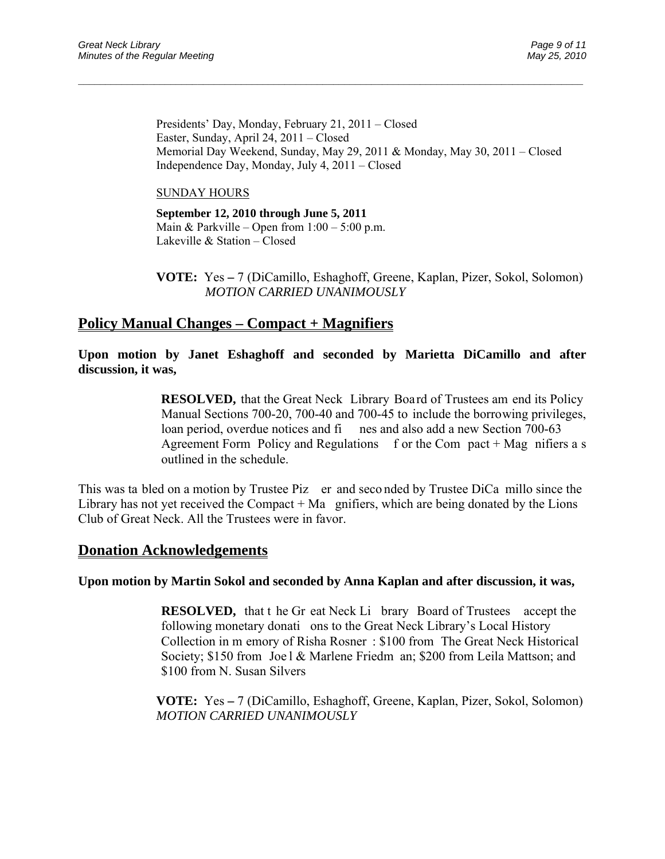Presidents' Day, Monday, February 21, 2011 – Closed Easter, Sunday, April 24, 2011 – Closed Memorial Day Weekend, Sunday, May 29, 2011 & Monday, May 30, 2011 – Closed Independence Day, Monday, July 4, 2011 – Closed

\_\_\_\_\_\_\_\_\_\_\_\_\_\_\_\_\_\_\_\_\_\_\_\_\_\_\_\_\_\_\_\_\_\_\_\_\_\_\_\_\_\_\_\_\_\_\_\_\_\_\_\_\_\_\_\_\_\_\_\_\_\_\_\_\_\_\_\_\_\_\_\_\_\_\_\_\_\_\_\_\_\_\_\_\_\_\_\_\_\_\_\_\_

#### SUNDAY HOURS

**September 12, 2010 through June 5, 2011**  Main & Parkville – Open from  $1:00 - 5:00$  p.m. Lakeville & Station – Closed

 **VOTE:** Yes **–** 7 (DiCamillo, Eshaghoff, Greene, Kaplan, Pizer, Sokol, Solomon) *MOTION CARRIED UNANIMOUSLY* 

## **Policy Manual Changes – Compact + Magnifiers**

**Upon motion by Janet Eshaghoff and seconded by Marietta DiCamillo and after discussion, it was,** 

> **RESOLVED,** that the Great Neck Library Board of Trustees am end its Policy Manual Sections 700-20, 700-40 and 700-45 to include the borrowing privileges, loan period, overdue notices and fines and also add a new Section 700-63 Agreement Form Policy and Regulations f or the Com pact + Mag nifiers a s outlined in the schedule.

This was ta bled on a motion by Trustee Piz er and seco nded by Trustee DiCa millo since the Library has not yet received the Compact  $+$  Ma gnifiers, which are being donated by the Lions Club of Great Neck. All the Trustees were in favor.

## **Donation Acknowledgements**

### **Upon motion by Martin Sokol and seconded by Anna Kaplan and after discussion, it was,**

**RESOLVED,** that t he Gr eat Neck Li brary Board of Trustees accept the following monetary donati ons to the Great Neck Library's Local History Collection in m emory of Risha Rosner : \$100 from The Great Neck Historical Society; \$150 from Joe l & Marlene Friedm an; \$200 from Leila Mattson; and \$100 from N. Susan Silvers

 **VOTE:** Yes **–** 7 (DiCamillo, Eshaghoff, Greene, Kaplan, Pizer, Sokol, Solomon)  *MOTION CARRIED UNANIMOUSLY*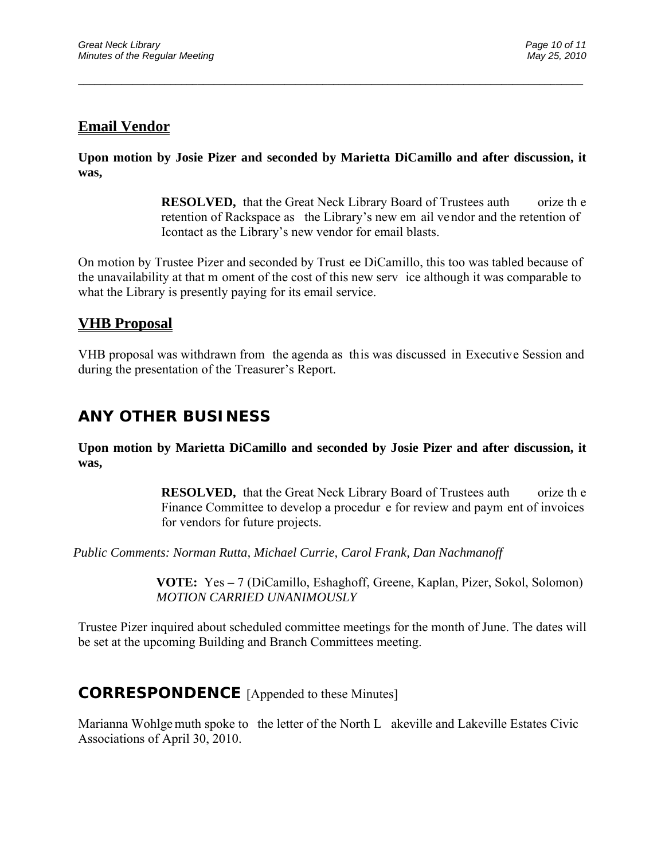## **Email Vendor**

**Upon motion by Josie Pizer and seconded by Marietta DiCamillo and after discussion, it was,** 

\_\_\_\_\_\_\_\_\_\_\_\_\_\_\_\_\_\_\_\_\_\_\_\_\_\_\_\_\_\_\_\_\_\_\_\_\_\_\_\_\_\_\_\_\_\_\_\_\_\_\_\_\_\_\_\_\_\_\_\_\_\_\_\_\_\_\_\_\_\_\_\_\_\_\_\_\_\_\_\_\_\_\_\_\_\_\_\_\_\_\_\_\_

**RESOLVED,** that the Great Neck Library Board of Trustees auth orize the retention of Rackspace as the Library's new em ail vendor and the retention of Icontact as the Library's new vendor for email blasts.

On motion by Trustee Pizer and seconded by Trust ee DiCamillo, this too was tabled because of the unavailability at that m oment of the cost of this new serv ice although it was comparable to what the Library is presently paying for its email service.

# **VHB Proposal**

VHB proposal was withdrawn from the agenda as this was discussed in Executive Session and during the presentation of the Treasurer's Report.

# **ANY OTHER BUSINESS**

**Upon motion by Marietta DiCamillo and seconded by Josie Pizer and after discussion, it was,** 

> **RESOLVED,** that the Great Neck Library Board of Trustees auth orize the Finance Committee to develop a procedur e for review and paym ent of invoices for vendors for future projects.

*Public Comments: Norman Rutta, Michael Currie, Carol Frank, Dan Nachmanoff* 

 **VOTE:** Yes **–** 7 (DiCamillo, Eshaghoff, Greene, Kaplan, Pizer, Sokol, Solomon)  *MOTION CARRIED UNANIMOUSLY* 

Trustee Pizer inquired about scheduled committee meetings for the month of June. The dates will be set at the upcoming Building and Branch Committees meeting.

# **CORRESPONDENCE** [Appended to these Minutes]

Marianna Wohlge muth spoke to the letter of the North L akeville and Lakeville Estates Civic Associations of April 30, 2010.